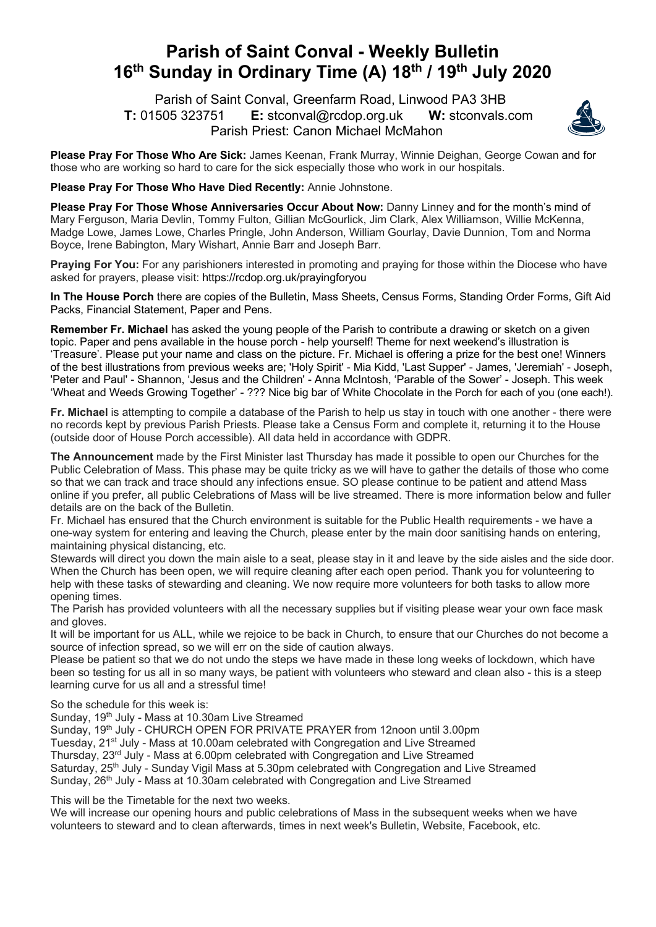## **Parish of Saint Conval - Weekly Bulletin 16th Sunday in Ordinary Time (A) 18th / 19th July 2020**

 Parish of Saint Conval, Greenfarm Road, Linwood PA3 3HB **T:** 01505 323751 **E:** stconval@rcdop.org.uk **W:** stconvals.com Parish Priest: Canon Michael McMahon



**Please Pray For Those Who Are Sick:** James Keenan, Frank Murray, Winnie Deighan, George Cowan and for those who are working so hard to care for the sick especially those who work in our hospitals.

## **Please Pray For Those Who Have Died Recently:** Annie Johnstone.

**Please Pray For Those Whose Anniversaries Occur About Now:** Danny Linney and for the month's mind of Mary Ferguson, Maria Devlin, Tommy Fulton, Gillian McGourlick, Jim Clark, Alex Williamson, Willie McKenna, Madge Lowe, James Lowe, Charles Pringle, John Anderson, William Gourlay, Davie Dunnion, Tom and Norma Boyce, Irene Babington, Mary Wishart, Annie Barr and Joseph Barr.

**Praying For You:** For any parishioners interested in promoting and praying for those within the Diocese who have asked for prayers, please visit: https://rcdop.org.uk/prayingforyou

**In The House Porch** there are copies of the Bulletin, Mass Sheets, Census Forms, Standing Order Forms, Gift Aid Packs, Financial Statement, Paper and Pens.

**Remember Fr. Michael** has asked the young people of the Parish to contribute a drawing or sketch on a given topic. Paper and pens available in the house porch - help yourself! Theme for next weekend's illustration is 'Treasure'. Please put your name and class on the picture. Fr. Michael is offering a prize for the best one! Winners of the best illustrations from previous weeks are; 'Holy Spirit' - Mia Kidd, 'Last Supper' - James, 'Jeremiah' - Joseph, 'Peter and Paul' - Shannon, 'Jesus and the Children' - Anna McIntosh, 'Parable of the Sower' - Joseph. This week 'Wheat and Weeds Growing Together' - ??? Nice big bar of White Chocolate in the Porch for each of you (one each!).

**Fr. Michael** is attempting to compile a database of the Parish to help us stay in touch with one another - there were no records kept by previous Parish Priests. Please take a Census Form and complete it, returning it to the House (outside door of House Porch accessible). All data held in accordance with GDPR.

**The Announcement** made by the First Minister last Thursday has made it possible to open our Churches for the Public Celebration of Mass. This phase may be quite tricky as we will have to gather the details of those who come so that we can track and trace should any infections ensue. SO please continue to be patient and attend Mass online if you prefer, all public Celebrations of Mass will be live streamed. There is more information below and fuller details are on the back of the Bulletin.

Fr. Michael has ensured that the Church environment is suitable for the Public Health requirements - we have a one-way system for entering and leaving the Church, please enter by the main door sanitising hands on entering, maintaining physical distancing, etc.

Stewards will direct you down the main aisle to a seat, please stay in it and leave by the side aisles and the side door. When the Church has been open, we will require cleaning after each open period. Thank you for volunteering to help with these tasks of stewarding and cleaning. We now require more volunteers for both tasks to allow more opening times.

The Parish has provided volunteers with all the necessary supplies but if visiting please wear your own face mask and gloves.

It will be important for us ALL, while we rejoice to be back in Church, to ensure that our Churches do not become a source of infection spread, so we will err on the side of caution always.

Please be patient so that we do not undo the steps we have made in these long weeks of lockdown, which have been so testing for us all in so many ways, be patient with volunteers who steward and clean also - this is a steep learning curve for us all and a stressful time!

So the schedule for this week is:

Sunday, 19<sup>th</sup> July - Mass at 10.30am Live Streamed

Sunday, 19<sup>th</sup> July - CHURCH OPEN FOR PRIVATE PRAYER from 12noon until 3.00pm

Tuesday, 21st July - Mass at 10.00am celebrated with Congregation and Live Streamed

Thursday, 23rd July - Mass at 6.00pm celebrated with Congregation and Live Streamed

Saturday, 25<sup>th</sup> July - Sunday Vigil Mass at 5.30pm celebrated with Congregation and Live Streamed

Sunday, 26<sup>th</sup> July - Mass at 10.30am celebrated with Congregation and Live Streamed

This will be the Timetable for the next two weeks.

We will increase our opening hours and public celebrations of Mass in the subsequent weeks when we have volunteers to steward and to clean afterwards, times in next week's Bulletin, Website, Facebook, etc.